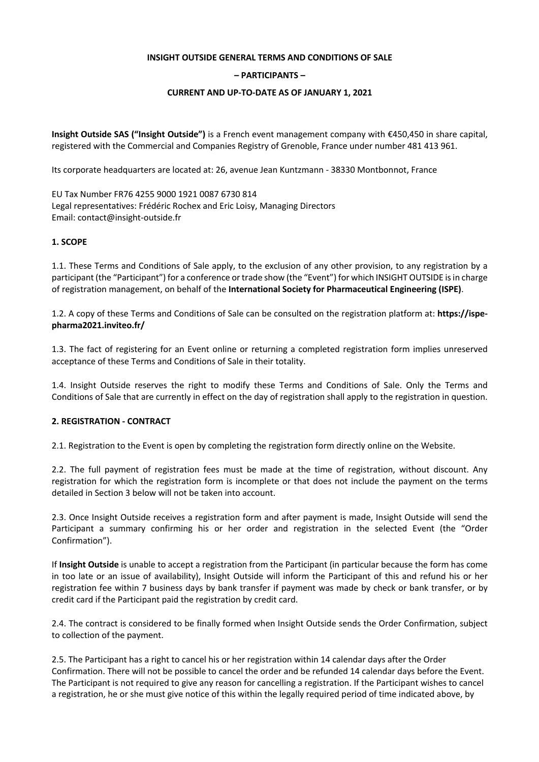#### **INSIGHT OUTSIDE GENERAL TERMS AND CONDITIONS OF SALE**

#### **– PARTICIPANTS –**

#### **CURRENT AND UP-TO-DATE AS OF JANUARY 1, 2021**

**Insight Outside SAS ("Insight Outside")** is a French event management company with €450,450 in share capital, registered with the Commercial and Companies Registry of Grenoble, France under number 481 413 961.

Its corporate headquarters are located at: 26, avenue Jean Kuntzmann - 38330 Montbonnot, France

EU Tax Number FR76 4255 9000 1921 0087 6730 814 Legal representatives: Frédéric Rochex and Eric Loisy, Managing Directors Email: contact@insight-outside.fr

#### **1. SCOPE**

1.1. These Terms and Conditions of Sale apply, to the exclusion of any other provision, to any registration by a participant (the "Participant") for a conference or trade show (the "Event") for which INSIGHT OUTSIDE is in charge of registration management, on behalf of the **International Society for Pharmaceutical Engineering (ISPE)**.

1.2. A copy of these Terms and Conditions of Sale can be consulted on the registration platform at: **https://ispepharma2021.inviteo.fr/**

1.3. The fact of registering for an Event online or returning a completed registration form implies unreserved acceptance of these Terms and Conditions of Sale in their totality.

1.4. Insight Outside reserves the right to modify these Terms and Conditions of Sale. Only the Terms and Conditions of Sale that are currently in effect on the day of registration shall apply to the registration in question.

### **2. REGISTRATION - CONTRACT**

2.1. Registration to the Event is open by completing the registration form directly online on the Website.

2.2. The full payment of registration fees must be made at the time of registration, without discount. Any registration for which the registration form is incomplete or that does not include the payment on the terms detailed in Section 3 below will not be taken into account.

2.3. Once Insight Outside receives a registration form and after payment is made, Insight Outside will send the Participant a summary confirming his or her order and registration in the selected Event (the "Order Confirmation").

If **Insight Outside** is unable to accept a registration from the Participant (in particular because the form has come in too late or an issue of availability), Insight Outside will inform the Participant of this and refund his or her registration fee within 7 business days by bank transfer if payment was made by check or bank transfer, or by credit card if the Participant paid the registration by credit card.

2.4. The contract is considered to be finally formed when Insight Outside sends the Order Confirmation, subject to collection of the payment.

2.5. The Participant has a right to cancel his or her registration within 14 calendar days after the Order Confirmation. There will not be possible to cancel the order and be refunded 14 calendar days before the Event. The Participant is not required to give any reason for cancelling a registration. If the Participant wishes to cancel a registration, he or she must give notice of this within the legally required period of time indicated above, by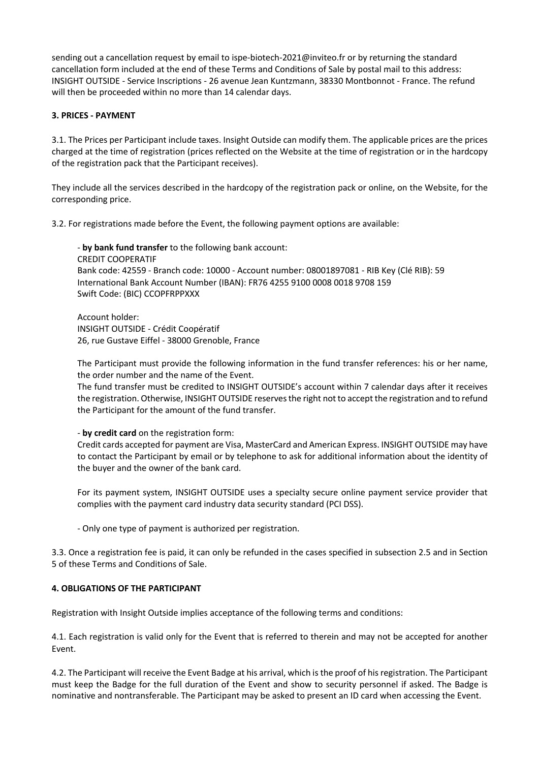sending out a cancellation request by email to ispe-biotech-2021@inviteo.fr or by returning the standard cancellation form included at the end of these Terms and Conditions of Sale by postal mail to this address: INSIGHT OUTSIDE - Service Inscriptions - 26 avenue Jean Kuntzmann, 38330 Montbonnot - France. The refund will then be proceeded within no more than 14 calendar days.

### **3. PRICES - PAYMENT**

3.1. The Prices per Participant include taxes. Insight Outside can modify them. The applicable prices are the prices charged at the time of registration (prices reflected on the Website at the time of registration or in the hardcopy of the registration pack that the Participant receives).

They include all the services described in the hardcopy of the registration pack or online, on the Website, for the corresponding price.

3.2. For registrations made before the Event, the following payment options are available:

- **by bank fund transfer** to the following bank account: CREDIT COOPERATIF Bank code: 42559 - Branch code: 10000 - Account number: 08001897081 - RIB Key (Clé RIB): 59 International Bank Account Number (IBAN): FR76 4255 9100 0008 0018 9708 159 Swift Code: (BIC) CCOPFRPPXXX

Account holder: INSIGHT OUTSIDE - Crédit Coopératif 26, rue Gustave Eiffel - 38000 Grenoble, France

The Participant must provide the following information in the fund transfer references: his or her name, the order number and the name of the Event.

The fund transfer must be credited to INSIGHT OUTSIDE's account within 7 calendar days after it receives the registration. Otherwise, INSIGHT OUTSIDE reserves the right not to accept the registration and to refund the Participant for the amount of the fund transfer.

- **by credit card** on the registration form:

Credit cards accepted for payment are Visa, MasterCard and American Express. INSIGHT OUTSIDE may have to contact the Participant by email or by telephone to ask for additional information about the identity of the buyer and the owner of the bank card.

For its payment system, INSIGHT OUTSIDE uses a specialty secure online payment service provider that complies with the payment card industry data security standard (PCI DSS).

- Only one type of payment is authorized per registration.

3.3. Once a registration fee is paid, it can only be refunded in the cases specified in subsection 2.5 and in Section 5 of these Terms and Conditions of Sale.

# **4. OBLIGATIONS OF THE PARTICIPANT**

Registration with Insight Outside implies acceptance of the following terms and conditions:

4.1. Each registration is valid only for the Event that is referred to therein and may not be accepted for another Event.

4.2. The Participant will receive the Event Badge at his arrival, which is the proof of his registration. The Participant must keep the Badge for the full duration of the Event and show to security personnel if asked. The Badge is nominative and nontransferable. The Participant may be asked to present an ID card when accessing the Event.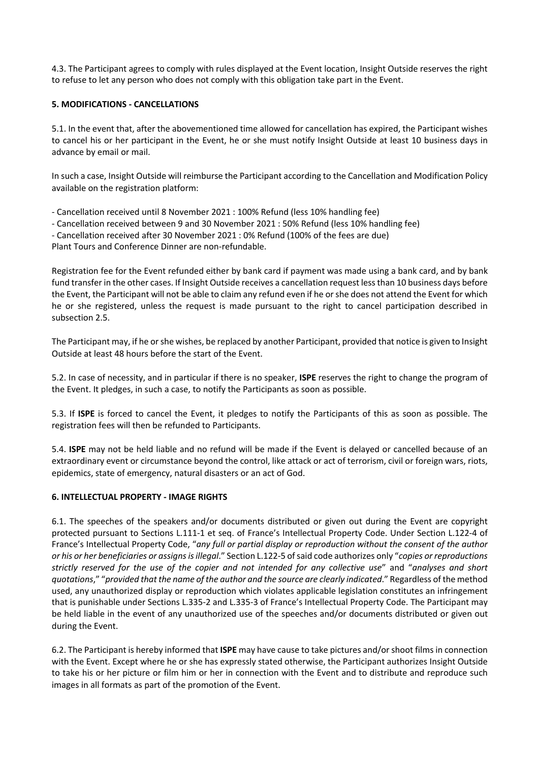4.3. The Participant agrees to comply with rules displayed at the Event location, Insight Outside reserves the right to refuse to let any person who does not comply with this obligation take part in the Event.

### **5. MODIFICATIONS - CANCELLATIONS**

5.1. In the event that, after the abovementioned time allowed for cancellation has expired, the Participant wishes to cancel his or her participant in the Event, he or she must notify Insight Outside at least 10 business days in advance by email or mail.

In such a case, Insight Outside will reimburse the Participant according to the Cancellation and Modification Policy available on the registration platform:

- Cancellation received until 8 November 2021 : 100% Refund (less 10% handling fee)

- Cancellation received between 9 and 30 November 2021 : 50% Refund (less 10% handling fee)
- Cancellation received after 30 November 2021 : 0% Refund (100% of the fees are due)

Plant Tours and Conference Dinner are non-refundable.

Registration fee for the Event refunded either by bank card if payment was made using a bank card, and by bank fund transfer in the other cases. If Insight Outside receives a cancellation request less than 10 business days before the Event, the Participant will not be able to claim any refund even if he or she does not attend the Event for which he or she registered, unless the request is made pursuant to the right to cancel participation described in subsection 2.5.

The Participant may, if he or she wishes, be replaced by another Participant, provided that notice is given to Insight Outside at least 48 hours before the start of the Event.

5.2. In case of necessity, and in particular if there is no speaker, **ISPE** reserves the right to change the program of the Event. It pledges, in such a case, to notify the Participants as soon as possible.

5.3. If **ISPE** is forced to cancel the Event, it pledges to notify the Participants of this as soon as possible. The registration fees will then be refunded to Participants.

5.4. **ISPE** may not be held liable and no refund will be made if the Event is delayed or cancelled because of an extraordinary event or circumstance beyond the control, like attack or act of terrorism, civil or foreign wars, riots, epidemics, state of emergency, natural disasters or an act of God.

### **6. INTELLECTUAL PROPERTY - IMAGE RIGHTS**

6.1. The speeches of the speakers and/or documents distributed or given out during the Event are copyright protected pursuant to Sections L.111-1 et seq. of France's Intellectual Property Code. Under Section L.122-4 of France's Intellectual Property Code, "*any full or partial display or reproduction without the consent of the author or his or her beneficiaries or assigns is illegal*." Section L.122-5 of said code authorizes only "*copies or reproductions strictly reserved for the use of the copier and not intended for any collective use*" and "*analyses and short quotations*," "*provided that the name of the author and the source are clearly indicated*." Regardless of the method used, any unauthorized display or reproduction which violates applicable legislation constitutes an infringement that is punishable under Sections L.335-2 and L.335-3 of France's Intellectual Property Code. The Participant may be held liable in the event of any unauthorized use of the speeches and/or documents distributed or given out during the Event.

6.2. The Participant is hereby informed that **ISPE** may have cause to take pictures and/or shoot films in connection with the Event. Except where he or she has expressly stated otherwise, the Participant authorizes Insight Outside to take his or her picture or film him or her in connection with the Event and to distribute and reproduce such images in all formats as part of the promotion of the Event.